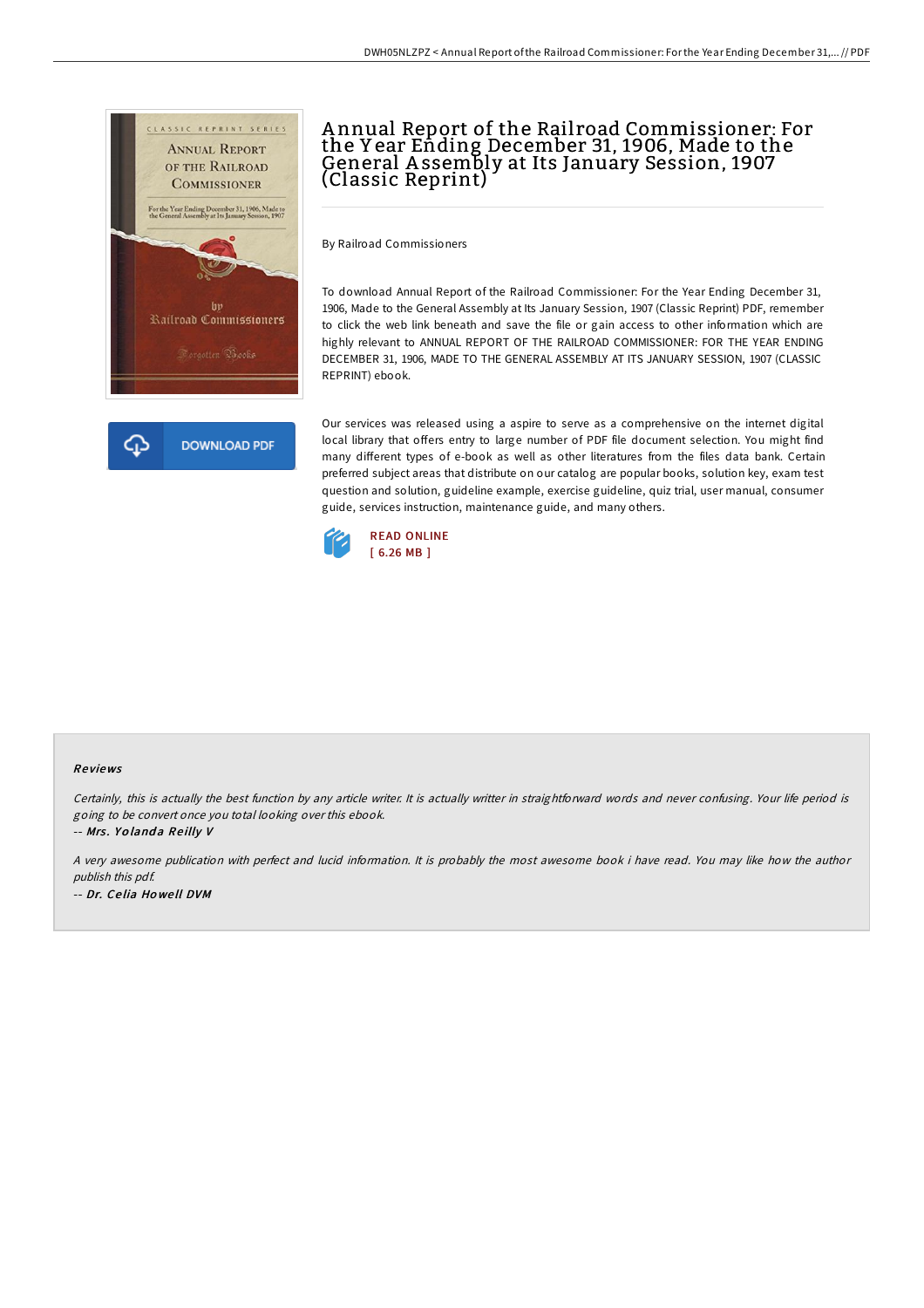

# Annual Report of the Railroad Commissioner: For the Y ear Ending December 31, 1906, Made to the General A ssembly at Its January Session, 1907 (Classic Reprint)

By Railroad Commissioners

To download Annual Report of the Railroad Commissioner: For the Year Ending December 31, 1906, Made to the General Assembly at Its January Session, 1907 (Classic Reprint) PDF, remember to click the web link beneath and save the file or gain access to other information which are highly relevant to ANNUAL REPORT OF THE RAILROAD COMMISSIONER: FOR THE YEAR ENDING DECEMBER 31, 1906, MADE TO THE GENERAL ASSEMBLY AT ITS JANUARY SESSION, 1907 (CLASSIC REPRINT) ebook.

Our services was released using a aspire to serve as a comprehensive on the internet digital local library that offers entry to large number of PDF file document selection. You might find many different types of e-book as well as other literatures from the files data bank. Certain preferred subject areas that distribute on our catalog are popular books, solution key, exam test question and solution, guideline example, exercise guideline, quiz trial, user manual, consumer guide, services instruction, maintenance guide, and many others.



#### Re views

Certainly, this is actually the best function by any article writer. It is actually writter in straightforward words and never confusing. Your life period is going to be convert once you total looking over this ebook.

-- Mrs. Yolanda Reilly V

A very awesome publication with perfect and lucid information. It is probably the most awesome book i have read. You may like how the author publish this pdf. -- Dr. Ce lia Ho we ll DVM